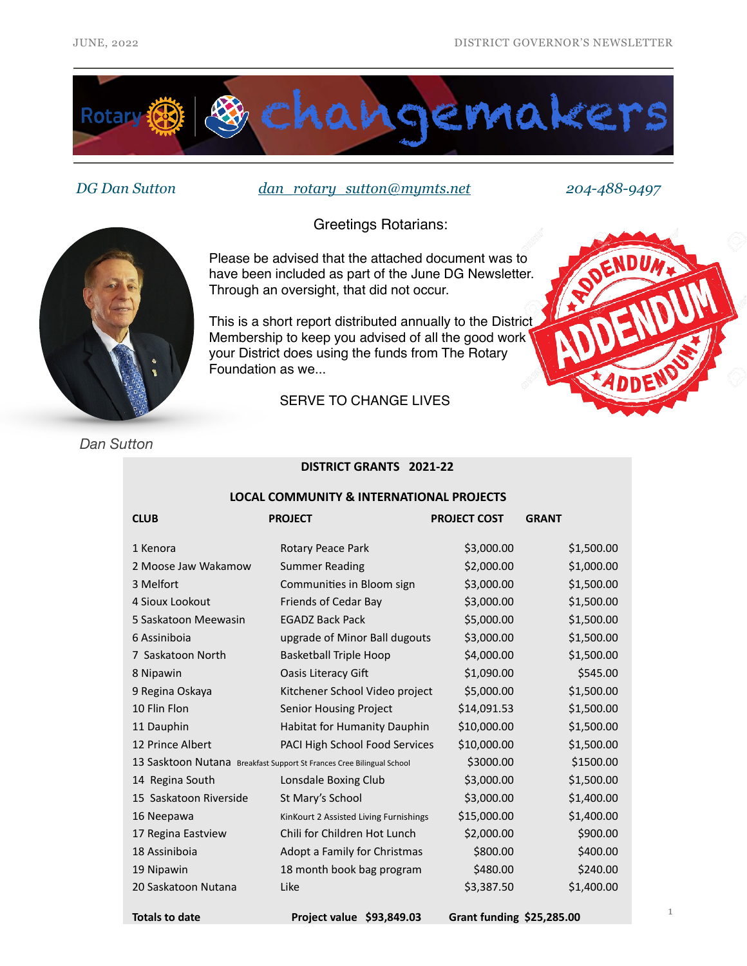

*DG Dan Sutton [dan\\_rotary\\_sutton@mymts.net](mailto:dan_rotary-sutton@mymts.net) 204-488-9497*

Greetings Rotarians:



your District does using the funds from The Rotary

Through an oversight, that did not occur.

Foundation as we...

SERVE TO CHANGE LIVES



*Dan Sutton*

## **DISTRICT GRANTS 2021-22**

#### **LOCAL COMMUNITY & INTERNATIONAL PROJECTS**

| <b>CLUB</b>                                                           | <b>PROJECT</b>                         | <b>PROJECT COST</b> | <b>GRANT</b> |
|-----------------------------------------------------------------------|----------------------------------------|---------------------|--------------|
| 1 Kenora                                                              | Rotary Peace Park                      | \$3,000.00          | \$1,500.00   |
| 2 Moose Jaw Wakamow                                                   | <b>Summer Reading</b>                  | \$2,000.00          | \$1,000.00   |
| 3 Melfort                                                             | Communities in Bloom sign              | \$3,000.00          | \$1,500.00   |
| 4 Sioux Lookout                                                       | Friends of Cedar Bay                   | \$3,000.00          | \$1,500.00   |
| 5 Saskatoon Meewasin                                                  | <b>EGADZ Back Pack</b>                 | \$5,000.00          | \$1,500.00   |
| 6 Assiniboia                                                          | upgrade of Minor Ball dugouts          | \$3,000.00          | \$1,500.00   |
| 7 Saskatoon North                                                     | <b>Basketball Triple Hoop</b>          | \$4,000.00          | \$1,500.00   |
| 8 Nipawin                                                             | <b>Oasis Literacy Gift</b>             | \$1,090.00          | \$545.00     |
| 9 Regina Oskaya                                                       | Kitchener School Video project         | \$5,000.00          | \$1,500.00   |
| 10 Flin Flon                                                          | Senior Housing Project                 | \$14,091.53         | \$1,500.00   |
| 11 Dauphin                                                            | Habitat for Humanity Dauphin           | \$10,000.00         | \$1,500.00   |
| 12 Prince Albert                                                      | PACI High School Food Services         | \$10,000.00         | \$1,500.00   |
| 13 Sasktoon Nutana Breakfast Support St Frances Cree Bilingual School |                                        | \$3000.00           | \$1500.00    |
| 14 Regina South                                                       | Lonsdale Boxing Club                   | \$3,000.00          | \$1,500.00   |
| 15 Saskatoon Riverside                                                | St Mary's School                       | \$3,000.00          | \$1,400.00   |
| 16 Neepawa                                                            | KinKourt 2 Assisted Living Furnishings | \$15,000.00         | \$1,400.00   |
| 17 Regina Eastview                                                    | Chili for Children Hot Lunch           | \$2,000.00          | \$900.00     |
| 18 Assiniboia                                                         | Adopt a Family for Christmas           | \$800.00            | \$400.00     |
| 19 Nipawin                                                            | 18 month book bag program              | \$480.00            | \$240.00     |
| 20 Saskatoon Nutana                                                   | Like                                   | \$3,387.50          | \$1,400.00   |
|                                                                       |                                        |                     |              |

**Totals to date Project value \$93,849.03 Grant funding \$25,285.00**